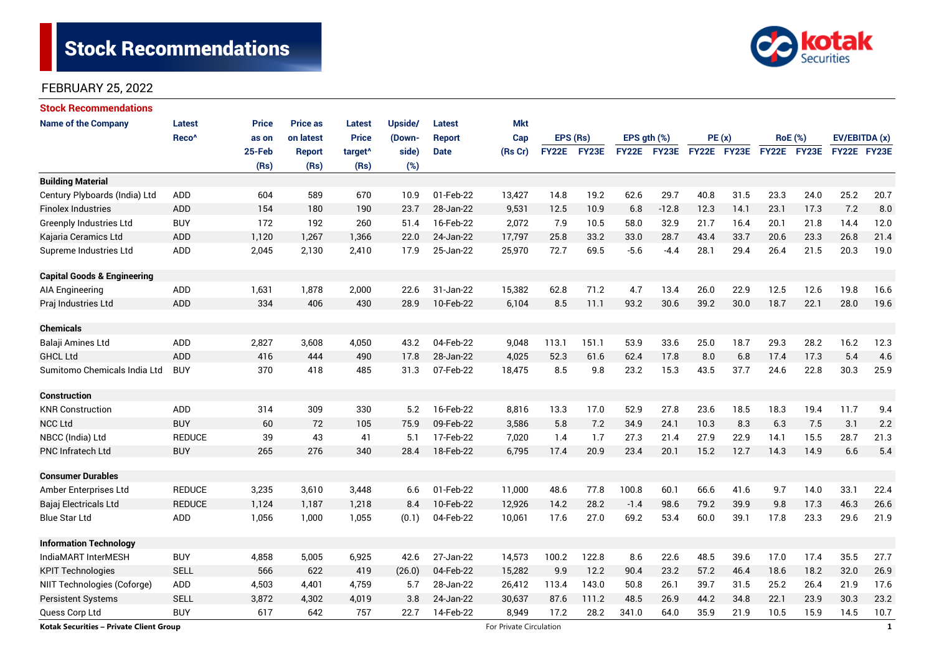# **Stock Recommendations**



### FEBRUARY 25, 2022

| <b>Stock Recommendations</b>            |                   |              |                 |                     |         |               |                         |              |       |             |                    |             |      |                |             |               |              |
|-----------------------------------------|-------------------|--------------|-----------------|---------------------|---------|---------------|-------------------------|--------------|-------|-------------|--------------------|-------------|------|----------------|-------------|---------------|--------------|
| <b>Name of the Company</b>              | <b>Latest</b>     | <b>Price</b> | <b>Price as</b> | Latest              | Upside/ | <b>Latest</b> | <b>Mkt</b>              |              |       |             |                    |             |      |                |             |               |              |
|                                         | Reco <sup>^</sup> | as on        | on latest       | <b>Price</b>        | (Down-  | <b>Report</b> | Cap                     | EPS (Rs)     |       | EPS gth (%) |                    | PE(x)       |      | <b>RoE</b> (%) |             | EV/EBITDA (x) |              |
|                                         |                   | 25-Feb       | <b>Report</b>   | target <sup>^</sup> | side)   | <b>Date</b>   | (Rs Cr)                 | <b>FY22E</b> | FY23E |             | <b>FY22E FY23E</b> | FY22E FY23E |      |                | FY22E FY23E | FY22E FY23E   |              |
|                                         |                   | (Rs)         | (Rs)            | (Rs)                | (%)     |               |                         |              |       |             |                    |             |      |                |             |               |              |
| <b>Building Material</b>                |                   |              |                 |                     |         |               |                         |              |       |             |                    |             |      |                |             |               |              |
| Century Plyboards (India) Ltd           | ADD               | 604          | 589             | 670                 | 10.9    | 01-Feb-22     | 13,427                  | 14.8         | 19.2  | 62.6        | 29.7               | 40.8        | 31.5 | 23.3           | 24.0        | 25.2          | 20.7         |
| <b>Finolex Industries</b>               | ADD               | 154          | 180             | 190                 | 23.7    | 28-Jan-22     | 9,531                   | 12.5         | 10.9  | 6.8         | $-12.8$            | 12.3        | 14.1 | 23.1           | 17.3        | 7.2           | 8.0          |
| Greenply Industries Ltd                 | <b>BUY</b>        | 172          | 192             | 260                 | 51.4    | 16-Feb-22     | 2,072                   | 7.9          | 10.5  | 58.0        | 32.9               | 21.7        | 16.4 | 20.1           | 21.8        | 14.4          | 12.0         |
| Kajaria Ceramics Ltd                    | ADD               | 1,120        | 1,267           | 1,366               | 22.0    | 24-Jan-22     | 17,797                  | 25.8         | 33.2  | 33.0        | 28.7               | 43.4        | 33.7 | 20.6           | 23.3        | 26.8          | 21.4         |
| Supreme Industries Ltd                  | ADD               | 2,045        | 2,130           | 2,410               | 17.9    | 25-Jan-22     | 25,970                  | 72.7         | 69.5  | $-5.6$      | $-4.4$             | 28.1        | 29.4 | 26.4           | 21.5        | 20.3          | 19.0         |
| <b>Capital Goods &amp; Engineering</b>  |                   |              |                 |                     |         |               |                         |              |       |             |                    |             |      |                |             |               |              |
| AIA Engineering                         | <b>ADD</b>        | 1,631        | 1,878           | 2,000               | 22.6    | 31-Jan-22     | 15,382                  | 62.8         | 71.2  | 4.7         | 13.4               | 26.0        | 22.9 | 12.5           | 12.6        | 19.8          | 16.6         |
| Praj Industries Ltd                     | <b>ADD</b>        | 334          | 406             | 430                 | 28.9    | 10-Feb-22     | 6,104                   | 8.5          | 11.1  | 93.2        | 30.6               | 39.2        | 30.0 | 18.7           | 22.1        | 28.0          | 19.6         |
| <b>Chemicals</b>                        |                   |              |                 |                     |         |               |                         |              |       |             |                    |             |      |                |             |               |              |
| Balaji Amines Ltd                       | ADD               | 2,827        | 3,608           | 4,050               | 43.2    | 04-Feb-22     | 9,048                   | 113.1        | 151.1 | 53.9        | 33.6               | 25.0        | 18.7 | 29.3           | 28.2        | 16.2          | 12.3         |
| <b>GHCL Ltd</b>                         | <b>ADD</b>        | 416          | 444             | 490                 | 17.8    | 28-Jan-22     | 4,025                   | 52.3         | 61.6  | 62.4        | 17.8               | 8.0         | 6.8  | 17.4           | 17.3        | 5.4           | 4.6          |
| Sumitomo Chemicals India Ltd            | <b>BUY</b>        | 370          | 418             | 485                 | 31.3    | 07-Feb-22     | 18,475                  | 8.5          | 9.8   | 23.2        | 15.3               | 43.5        | 37.7 | 24.6           | 22.8        | 30.3          | 25.9         |
| <b>Construction</b>                     |                   |              |                 |                     |         |               |                         |              |       |             |                    |             |      |                |             |               |              |
| <b>KNR Construction</b>                 | ADD               | 314          | 309             | 330                 | 5.2     | 16-Feb-22     | 8,816                   | 13.3         | 17.0  | 52.9        | 27.8               | 23.6        | 18.5 | 18.3           | 19.4        | 11.7          | 9.4          |
| <b>NCC Ltd</b>                          | <b>BUY</b>        | 60           | 72              | 105                 | 75.9    | 09-Feb-22     | 3,586                   | 5.8          | 7.2   | 34.9        | 24.1               | 10.3        | 8.3  | 6.3            | 7.5         | 3.1           | 2.2          |
| NBCC (India) Ltd                        | <b>REDUCE</b>     | 39           | 43              | 41                  | 5.1     | 17-Feb-22     | 7,020                   | 1.4          | 1.7   | 27.3        | 21.4               | 27.9        | 22.9 | 14.1           | 15.5        | 28.7          | 21.3         |
| <b>PNC Infratech Ltd</b>                | <b>BUY</b>        | 265          | 276             | 340                 | 28.4    | 18-Feb-22     | 6,795                   | 17.4         | 20.9  | 23.4        | 20.1               | 15.2        | 12.7 | 14.3           | 14.9        | 6.6           | 5.4          |
| <b>Consumer Durables</b>                |                   |              |                 |                     |         |               |                         |              |       |             |                    |             |      |                |             |               |              |
| Amber Enterprises Ltd                   | <b>REDUCE</b>     | 3,235        | 3,610           | 3,448               | 6.6     | 01-Feb-22     | 11,000                  | 48.6         | 77.8  | 100.8       | 60.1               | 66.6        | 41.6 | 9.7            | 14.0        | 33.1          | 22.4         |
| Bajaj Electricals Ltd                   | <b>REDUCE</b>     | 1,124        | 1,187           | 1,218               | 8.4     | 10-Feb-22     | 12,926                  | 14.2         | 28.2  | $-1.4$      | 98.6               | 79.2        | 39.9 | 9.8            | 17.3        | 46.3          | 26.6         |
| <b>Blue Star Ltd</b>                    | ADD               | 1,056        | 1,000           | 1,055               | (0.1)   | 04-Feb-22     | 10,061                  | 17.6         | 27.0  | 69.2        | 53.4               | 60.0        | 39.1 | 17.8           | 23.3        | 29.6          | 21.9         |
| <b>Information Technology</b>           |                   |              |                 |                     |         |               |                         |              |       |             |                    |             |      |                |             |               |              |
| IndiaMART InterMESH                     | <b>BUY</b>        | 4,858        | 5,005           | 6,925               | 42.6    | 27-Jan-22     | 14,573                  | 100.2        | 122.8 | 8.6         | 22.6               | 48.5        | 39.6 | 17.0           | 17.4        | 35.5          | 27.7         |
| <b>KPIT Technologies</b>                | <b>SELL</b>       | 566          | 622             | 419                 | (26.0)  | 04-Feb-22     | 15,282                  | 9.9          | 12.2  | 90.4        | 23.2               | 57.2        | 46.4 | 18.6           | 18.2        | 32.0          | 26.9         |
| NIIT Technologies (Coforge)             | ADD               | 4,503        | 4,401           | 4,759               | 5.7     | 28-Jan-22     | 26,412                  | 113.4        | 143.0 | 50.8        | 26.1               | 39.7        | 31.5 | 25.2           | 26.4        | 21.9          | 17.6         |
| <b>Persistent Systems</b>               | <b>SELL</b>       | 3,872        | 4,302           | 4,019               | 3.8     | 24-Jan-22     | 30,637                  | 87.6         | 111.2 | 48.5        | 26.9               | 44.2        | 34.8 | 22.1           | 23.9        | 30.3          | 23.2         |
| Quess Corp Ltd                          | <b>BUY</b>        | 617          | 642             | 757                 | 22.7    | 14-Feb-22     | 8,949                   | 17.2         | 28.2  | 341.0       | 64.0               | 35.9        | 21.9 | 10.5           | 15.9        | 14.5          | 10.7         |
| Kotak Securities - Private Client Group |                   |              |                 |                     |         |               | For Private Circulation |              |       |             |                    |             |      |                |             |               | $\mathbf{1}$ |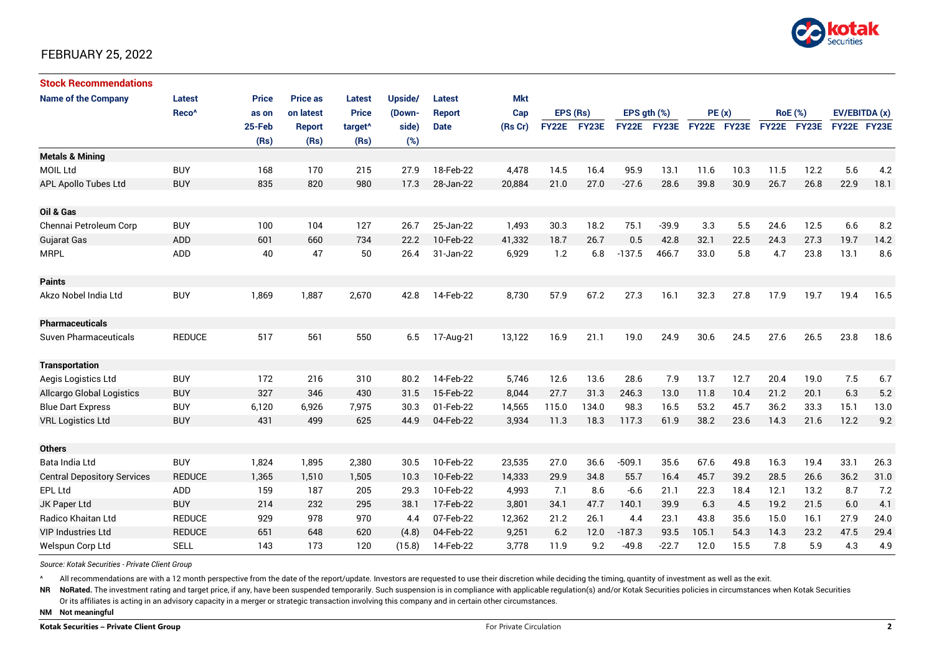

### FEBRUARY 25, 2022

| <b>Stock Recommendations</b>       |                   |              |                 |                     |         |               |         |             |       |                  |             |             |      |                |      |               |      |
|------------------------------------|-------------------|--------------|-----------------|---------------------|---------|---------------|---------|-------------|-------|------------------|-------------|-------------|------|----------------|------|---------------|------|
| <b>Name of the Company</b>         | <b>Latest</b>     | <b>Price</b> | <b>Price as</b> | <b>Latest</b>       | Upside/ | <b>Latest</b> | Mkt     |             |       |                  |             |             |      |                |      |               |      |
|                                    | Reco <sup>^</sup> | as on        | on latest       | <b>Price</b>        | (Down-  | <b>Report</b> | Cap     | EPS (Rs)    |       | EPS $qth$ $(\%)$ |             | PE(x)       |      | <b>RoE</b> (%) |      | EV/EBITDA (x) |      |
|                                    |                   | 25-Feb       | <b>Report</b>   | target <sup>^</sup> | side)   | <b>Date</b>   | (Rs Cr) | FY22E FY23E |       |                  | FY22E FY23E | FY22E FY23E |      | FY22E FY23E    |      | FY22E FY23E   |      |
|                                    |                   | (Rs)         | (Rs)            | (Rs)                | (%)     |               |         |             |       |                  |             |             |      |                |      |               |      |
| <b>Metals &amp; Mining</b>         |                   |              |                 |                     |         |               |         |             |       |                  |             |             |      |                |      |               |      |
| <b>MOIL Ltd</b>                    | <b>BUY</b>        | 168          | 170             | 215                 | 27.9    | 18-Feb-22     | 4,478   | 14.5        | 16.4  | 95.9             | 13.1        | 11.6        | 10.3 | 11.5           | 12.2 | 5.6           | 4.2  |
| APL Apollo Tubes Ltd               | <b>BUY</b>        | 835          | 820             | 980                 | 17.3    | 28-Jan-22     | 20,884  | 21.0        | 27.0  | $-27.6$          | 28.6        | 39.8        | 30.9 | 26.7           | 26.8 | 22.9          | 18.1 |
| Oil & Gas                          |                   |              |                 |                     |         |               |         |             |       |                  |             |             |      |                |      |               |      |
| Chennai Petroleum Corp             | <b>BUY</b>        | 100          | 104             | 127                 | 26.7    | 25-Jan-22     | 1,493   | 30.3        | 18.2  | 75.1             | $-39.9$     | 3.3         | 5.5  | 24.6           | 12.5 | 6.6           | 8.2  |
| <b>Gujarat Gas</b>                 | <b>ADD</b>        | 601          | 660             | 734                 | 22.2    | 10-Feb-22     | 41,332  | 18.7        | 26.7  | 0.5              | 42.8        | 32.1        | 22.5 | 24.3           | 27.3 | 19.7          | 14.2 |
| <b>MRPL</b>                        | <b>ADD</b>        | 40           | 47              | 50                  | 26.4    | 31-Jan-22     | 6,929   | 1.2         | 6.8   | $-137.5$         | 466.7       | 33.0        | 5.8  | 4.7            | 23.8 | 13.1          | 8.6  |
| <b>Paints</b>                      |                   |              |                 |                     |         |               |         |             |       |                  |             |             |      |                |      |               |      |
| Akzo Nobel India Ltd               | <b>BUY</b>        | 1,869        | 1,887           | 2,670               | 42.8    | 14-Feb-22     | 8,730   | 57.9        | 67.2  | 27.3             | 16.1        | 32.3        | 27.8 | 17.9           | 19.7 | 19.4          | 16.5 |
| <b>Pharmaceuticals</b>             |                   |              |                 |                     |         |               |         |             |       |                  |             |             |      |                |      |               |      |
| <b>Suven Pharmaceuticals</b>       | <b>REDUCE</b>     | 517          | 561             | 550                 | 6.5     | 17-Aug-21     | 13,122  | 16.9        | 21.1  | 19.0             | 24.9        | 30.6        | 24.5 | 27.6           | 26.5 | 23.8          | 18.6 |
| <b>Transportation</b>              |                   |              |                 |                     |         |               |         |             |       |                  |             |             |      |                |      |               |      |
| Aegis Logistics Ltd                | <b>BUY</b>        | 172          | 216             | 310                 | 80.2    | 14-Feb-22     | 5,746   | 12.6        | 13.6  | 28.6             | 7.9         | 13.7        | 12.7 | 20.4           | 19.0 | 7.5           | 6.7  |
| Allcargo Global Logistics          | <b>BUY</b>        | 327          | 346             | 430                 | 31.5    | 15-Feb-22     | 8,044   | 27.7        | 31.3  | 246.3            | 13.0        | 11.8        | 10.4 | 21.2           | 20.1 | 6.3           | 5.2  |
| <b>Blue Dart Express</b>           | <b>BUY</b>        | 6,120        | 6,926           | 7,975               | 30.3    | 01-Feb-22     | 14,565  | 115.0       | 134.0 | 98.3             | 16.5        | 53.2        | 45.7 | 36.2           | 33.3 | 15.1          | 13.0 |
| <b>VRL Logistics Ltd</b>           | <b>BUY</b>        | 431          | 499             | 625                 | 44.9    | 04-Feb-22     | 3,934   | 11.3        | 18.3  | 117.3            | 61.9        | 38.2        | 23.6 | 14.3           | 21.6 | 12.2          | 9.2  |
| <b>Others</b>                      |                   |              |                 |                     |         |               |         |             |       |                  |             |             |      |                |      |               |      |
| Bata India Ltd                     | <b>BUY</b>        | 1,824        | 1,895           | 2,380               | 30.5    | 10-Feb-22     | 23,535  | 27.0        | 36.6  | $-509.1$         | 35.6        | 67.6        | 49.8 | 16.3           | 19.4 | 33.1          | 26.3 |
| <b>Central Depository Services</b> | <b>REDUCE</b>     | 1,365        | 1.510           | 1,505               | 10.3    | 10-Feb-22     | 14,333  | 29.9        | 34.8  | 55.7             | 16.4        | 45.7        | 39.2 | 28.5           | 26.6 | 36.2          | 31.0 |
| EPL Ltd                            | <b>ADD</b>        | 159          | 187             | 205                 | 29.3    | 10-Feb-22     | 4,993   | 7.1         | 8.6   | $-6.6$           | 21.1        | 22.3        | 18.4 | 12.1           | 13.2 | 8.7           | 7.2  |
| JK Paper Ltd                       | <b>BUY</b>        | 214          | 232             | 295                 | 38.1    | 17-Feb-22     | 3,801   | 34.1        | 47.7  | 140.1            | 39.9        | 6.3         | 4.5  | 19.2           | 21.5 | 6.0           | 4.1  |
| Radico Khaitan Ltd                 | <b>REDUCE</b>     | 929          | 978             | 970                 | 4.4     | 07-Feb-22     | 12,362  | 21.2        | 26.1  | 4.4              | 23.1        | 43.8        | 35.6 | 15.0           | 16.1 | 27.9          | 24.0 |
| <b>VIP Industries Ltd</b>          | <b>REDUCE</b>     | 651          | 648             | 620                 | (4.8)   | 04-Feb-22     | 9,251   | 6.2         | 12.0  | $-187.3$         | 93.5        | 105.1       | 54.3 | 14.3           | 23.2 | 47.5          | 29.4 |
| Welspun Corp Ltd                   | <b>SELL</b>       | 143          | 173             | 120                 | (15.8)  | 14-Feb-22     | 3,778   | 11.9        | 9.2   | $-49.8$          | $-22.7$     | 12.0        | 15.5 | 7.8            | 5.9  | 4.3           | 4.9  |

*Source: Kotak Securities - Private Client Group*

All recommendations are with a 12 month perspective from the date of the report/update. Investors are requested to use their discretion while deciding the timing, quantity of investment as well as the exit.

NR NoRated. The investment rating and target price, if any, have been suspended temporarily. Such suspension is in compliance with applicable regulation(s) and/or Kotak Securities policies in circumstances when Kotak Secur

Or its affiliates is acting in an advisory capacity in a merger or strategic transaction involving this company and in certain other circumstances.

**NM Not meaningful**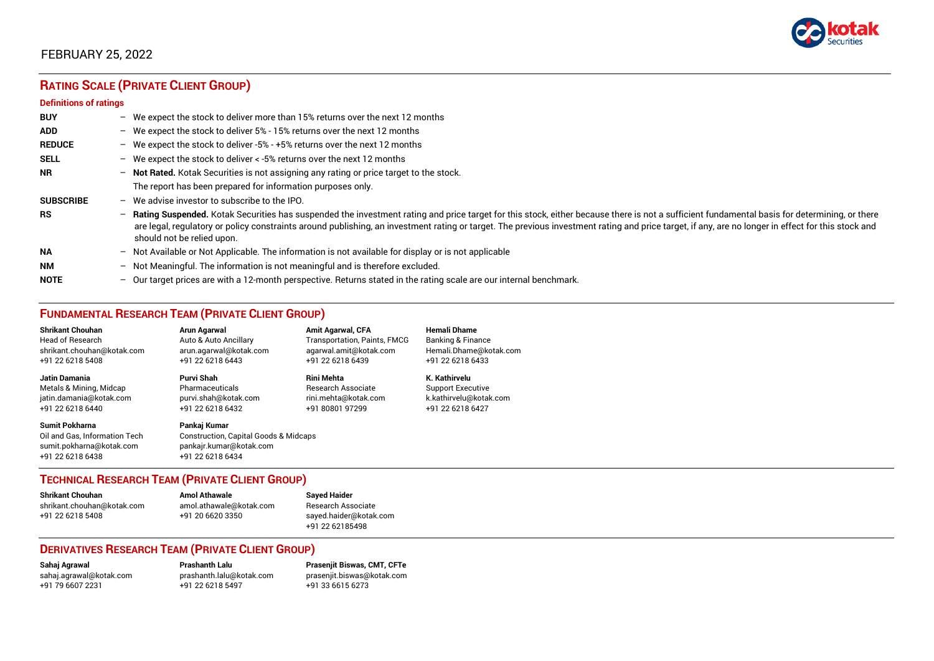

### FEBRUARY 25, 2022

## **RATING SCALE (PRIVATE CLIENT GROUP)**

#### **Definitions of ratings**

| <b>BUY</b>       |   | - We expect the stock to deliver more than 15% returns over the next 12 months                                                                                                                                                                                                                                                                                                                                                     |
|------------------|---|------------------------------------------------------------------------------------------------------------------------------------------------------------------------------------------------------------------------------------------------------------------------------------------------------------------------------------------------------------------------------------------------------------------------------------|
| <b>ADD</b>       |   | - We expect the stock to deliver 5% - 15% returns over the next 12 months                                                                                                                                                                                                                                                                                                                                                          |
| <b>REDUCE</b>    |   | - We expect the stock to deliver -5% - +5% returns over the next 12 months                                                                                                                                                                                                                                                                                                                                                         |
| <b>SELL</b>      |   | - We expect the stock to deliver $\lt$ -5% returns over the next 12 months                                                                                                                                                                                                                                                                                                                                                         |
| <b>NR</b>        |   | - Not Rated. Kotak Securities is not assigning any rating or price target to the stock.                                                                                                                                                                                                                                                                                                                                            |
|                  |   | The report has been prepared for information purposes only.                                                                                                                                                                                                                                                                                                                                                                        |
| <b>SUBSCRIBE</b> |   | $-$ We advise investor to subscribe to the IPO.                                                                                                                                                                                                                                                                                                                                                                                    |
| <b>RS</b>        |   | - Rating Suspended. Kotak Securities has suspended the investment rating and price target for this stock, either because there is not a sufficient fundamental basis for determining, or there<br>are legal, regulatory or policy constraints around publishing, an investment rating or target. The previous investment rating and price target, if any, are no longer in effect for this stock and<br>should not be relied upon. |
| <b>NA</b>        |   | $-$ Not Available or Not Applicable. The information is not available for display or is not applicable                                                                                                                                                                                                                                                                                                                             |
| <b>NM</b>        |   | - Not Meaningful. The information is not meaningful and is therefore excluded.                                                                                                                                                                                                                                                                                                                                                     |
| <b>NOTE</b>      | - | Our target prices are with a 12-month perspective. Returns stated in the rating scale are our internal benchmark.                                                                                                                                                                                                                                                                                                                  |

### **FUNDAMENTAL RESEARCH TEAM (PRIVATE CLIENT GROUP)**

| <b>Shrikant Chouhan</b>                                                                                | Arun Agarwal                                                                                                    | <b>Amit Agarwal, CFA</b>     | <b>Hemali Dhame</b>      |
|--------------------------------------------------------------------------------------------------------|-----------------------------------------------------------------------------------------------------------------|------------------------------|--------------------------|
| Head of Research                                                                                       | Auto & Auto Ancillary                                                                                           | Transportation, Paints, FMCG | Banking & Finance        |
| shrikant.chouhan@kotak.com                                                                             | arun agarwal@kotak.com                                                                                          | agarwal.amit@kotak.com       | Hemali.Dhame@kotak.com   |
| +91 22 6218 5408                                                                                       | +91 22 6218 6443                                                                                                | +91 22 6218 6439             | +91 22 6218 6433         |
| <b>Jatin Damania</b>                                                                                   | Purvi Shah                                                                                                      | <b>Rini Mehta</b>            | K. Kathirvelu            |
| Metals & Mining, Midcap                                                                                | Pharmaceuticals                                                                                                 | Research Associate           | <b>Support Executive</b> |
| jatin.damania@kotak.com                                                                                | purvi.shah@kotak.com                                                                                            | rini.mehta@kotak.com         | k.kathirvelu@kotak.com   |
| +91 22 6218 6440                                                                                       | +91 22 6218 6432                                                                                                | +91 80801 97299              | +91 22 6218 6427         |
| <b>Sumit Pokharna</b><br>Oil and Gas. Information Tech<br>sumit.pokharna@kotak.com<br>+91 22 6218 6438 | Pankaj Kumar<br><b>Construction, Capital Goods &amp; Midcaps</b><br>pankajr.kumar@kotak.com<br>+91 22 6218 6434 |                              |                          |

#### **TECHNICAL RESEARCH TEAM (PRIVATE CLIENT GROUP)**

| Shrikant Chouhan           | <b>Amol Athawale</b>    |   |
|----------------------------|-------------------------|---|
| shrikant.chouhan@kotak.com | amol.athawale@kotak.com | F |
| +91 22 6218 5408           | +91 20 6620 3350        | S |
|                            |                         |   |

**Shrikant Chouhan Amol Athawale Sayed Haider** Research Associate [sayed.haider@kotak.com](mailto:sayed.haider@kotak.com) +91 22 62185498

#### **DERIVATIVES RESEARCH TEAM (PRIVATE CLIENT GROUP)**

+91 22 6218 5497 +91 33 6615 6273

**Sahaj Agrawal Prashanth Lalu Prasenjit Biswas, CMT, CFTe** [sahaj.agrawal@kotak.com](mailto:sahaj.agrawal@kotak.com) [prashanth.lalu@kotak.com](mailto:prashanth.lalu@kotak.com) [prasenjit.biswas@kotak.com](mailto:prasenjit.biswas@kotak.com)